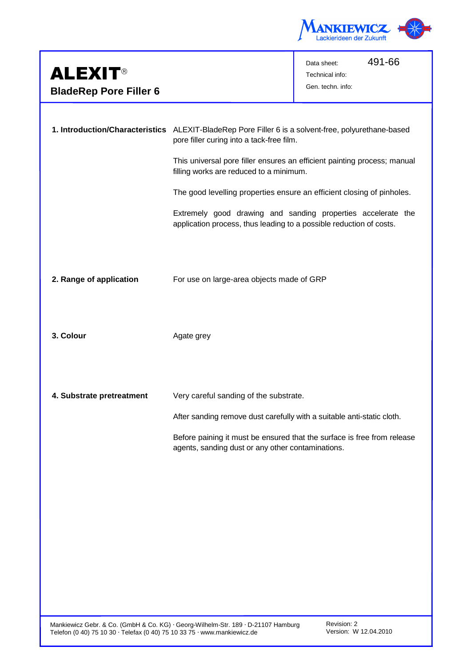

| <b>ALEXIT®</b><br><b>BladeRep Pore Filler 6</b> |                                                                                                                                                                                                                                                                                                                                                                                                                                                                                          | 491-66<br>Data sheet:<br>Technical info:<br>Gen. techn. info: |
|-------------------------------------------------|------------------------------------------------------------------------------------------------------------------------------------------------------------------------------------------------------------------------------------------------------------------------------------------------------------------------------------------------------------------------------------------------------------------------------------------------------------------------------------------|---------------------------------------------------------------|
|                                                 | 1. Introduction/Characteristics ALEXIT-BladeRep Pore Filler 6 is a solvent-free, polyurethane-based<br>pore filler curing into a tack-free film.<br>This universal pore filler ensures an efficient painting process; manual<br>filling works are reduced to a minimum.<br>The good levelling properties ensure an efficient closing of pinholes.<br>Extremely good drawing and sanding properties accelerate the<br>application process, thus leading to a possible reduction of costs. |                                                               |
| 2. Range of application                         | For use on large-area objects made of GRP                                                                                                                                                                                                                                                                                                                                                                                                                                                |                                                               |
| 3. Colour                                       | Agate grey                                                                                                                                                                                                                                                                                                                                                                                                                                                                               |                                                               |
| 4. Substrate pretreatment                       | Very careful sanding of the substrate.<br>After sanding remove dust carefully with a suitable anti-static cloth.<br>Before paining it must be ensured that the surface is free from release<br>agents, sanding dust or any other contaminations.                                                                                                                                                                                                                                         |                                                               |